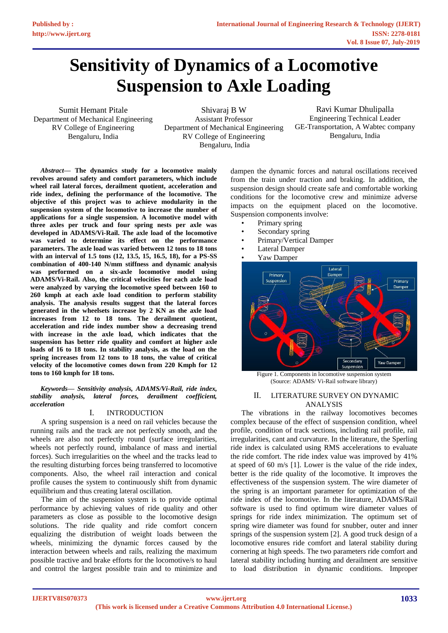# **Sensitivity of Dynamics of a Locomotive Suspension to Axle Loading**

Sumit Hemant Pitale Department of Mechanical Engineering RV College of Engineering Bengaluru, India

Shivaraj B W Assistant Professor Department of Mechanical Engineering RV College of Engineering Bengaluru, India

Ravi Kumar Dhulipalla Engineering Technical Leader GE-Transportation, A Wabtec company Bengaluru, India

*Abstract***— The dynamics study for a locomotive mainly revolves around safety and comfort parameters, which include wheel rail lateral forces, derailment quotient, acceleration and ride index, defining the performance of the locomotive. The objective of this project was to achieve modularity in the suspension system of the locomotive to increase the number of applications for a single suspension. A locomotive model with three axles per truck and four spring nests per axle was developed in ADAMS/Vi-Rail. The axle load of the locomotive was varied to determine its effect on the performance parameters. The axle load was varied between 12 tons to 18 tons with an interval of 1.5 tons (12, 13.5, 15, 16.5, 18), for a PS-SS combination of 400-140 N/mm stiffness and dynamic analysis was performed on a six-axle locomotive model using ADAMS/Vi-Rail. Also, the critical velocities for each axle load were analyzed by varying the locomotive speed between 160 to 260 kmph at each axle load condition to perform stability analysis. The analysis results suggest that the lateral forces generated in the wheelsets increase by 2 KN as the axle load increases from 12 to 18 tons. The derailment quotient, acceleration and ride index number show a decreasing trend with increase in the axle load, which indicates that the suspension has better ride quality and comfort at higher axle loads of 16 to 18 tons. In stability analysis, as the load on the spring increases from 12 tons to 18 tons, the value of critical velocity of the locomotive comes down from 220 Kmph for 12 tons to 160 kmph for 18 tons.**

*Keywords— Sensitivity analysis, ADAMS/Vi-Rail, ride index, stability analysis, lateral forces, derailment coefficient, acceleration*

### I. INTRODUCTION

A spring suspension is a need on rail vehicles because the running rails and the track are not perfectly smooth, and the wheels are also not perfectly round (surface irregularities, wheels not perfectly round, imbalance of mass and inertial forces). Such irregularities on the wheel and the tracks lead to the resulting disturbing forces being transferred to locomotive components. Also, the wheel rail interaction and conical profile causes the system to continuously shift from dynamic equilibrium and thus creating lateral oscillation.

The aim of the suspension system is to provide optimal performance by achieving values of ride quality and other parameters as close as possible to the locomotive design solutions. The ride quality and ride comfort concern equalizing the distribution of weight loads between the wheels, minimizing the dynamic forces caused by the interaction between wheels and rails, realizing the maximum possible tractive and brake efforts for the locomotive/s to haul and control the largest possible train and to minimize and

dampen the dynamic forces and natural oscillations received from the train under traction and braking. In addition, the suspension design should create safe and comfortable working conditions for the locomotive crew and minimize adverse impacts on the equipment placed on the locomotive. Suspension components involve:

- Primary spring
- Secondary spring
- Primary/Vertical Damper
- **Lateral Damper**
- Yaw Damper



Figure 1. Components in locomotive suspension system (Source: ADAMS/ Vi-Rail software library)

## II. LITERATURE SURVEY ON DYNAMIC ANALYSIS

The vibrations in the railway locomotives becomes complex because of the effect of suspension condition, wheel profile, condition of track sections, including rail profile, rail irregularities, cant and curvature. In the literature, the Sperling ride index is calculated using RMS accelerations to evaluate the ride comfort. The ride index value was improved by 41% at speed of 60 m/s [1]. Lower is the value of the ride index, better is the ride quality of the locomotive. It improves the effectiveness of the suspension system. The wire diameter of the spring is an important parameter for optimization of the ride index of the locomotive. In the literature, ADAMS/Rail software is used to find optimum wire diameter values of springs for ride index minimization. The optimum set of spring wire diameter was found for snubber, outer and inner springs of the suspension system [2]. A good truck design of a locomotive ensures ride comfort and lateral stability during cornering at high speeds. The two parameters ride comfort and lateral stability including hunting and derailment are sensitive to load distribution in dynamic conditions. Improper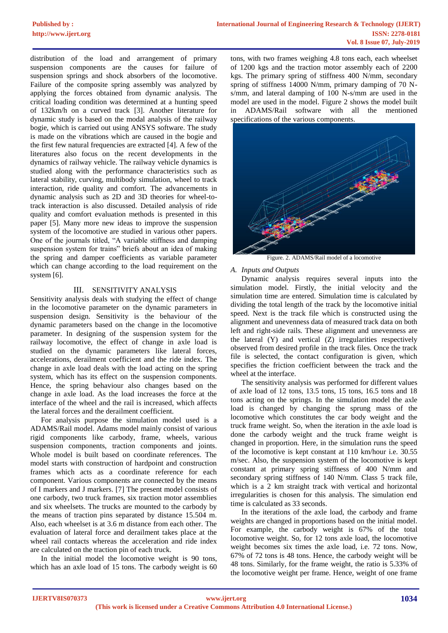distribution of the load and arrangement of primary suspension components are the causes for failure of suspension springs and shock absorbers of the locomotive. Failure of the composite spring assembly was analyzed by applying the forces obtained from dynamic analysis. The critical loading condition was determined at a hunting speed of 132km/h on a curved track [3]. Another literature for dynamic study is based on the modal analysis of the railway bogie, which is carried out using ANSYS software. The study is made on the vibrations which are caused in the bogie and the first few natural frequencies are extracted [4]. A few of the literatures also focus on the recent developments in the dynamics of railway vehicle. The railway vehicle dynamics is studied along with the performance characteristics such as lateral stability, curving, multibody simulation, wheel to track interaction, ride quality and comfort. The advancements in dynamic analysis such as 2D and 3D theories for wheel-totrack interaction is also discussed. Detailed analysis of ride quality and comfort evaluation methods is presented in this paper [5]. Many more new ideas to improve the suspension system of the locomotive are studied in various other papers. One of the journals titled, "A variable stiffness and damping suspension system for trains" briefs about an idea of making the spring and damper coefficients as variable parameter which can change according to the load requirement on the system [6].

## III. SENSITIVITY ANALYSIS

Sensitivity analysis deals with studying the effect of change in the locomotive parameter on the dynamic parameters in suspension design. Sensitivity is the behaviour of the dynamic parameters based on the change in the locomotive parameter. In designing of the suspension system for the railway locomotive, the effect of change in axle load is studied on the dynamic parameters like lateral forces, accelerations, derailment coefficient and the ride index. The change in axle load deals with the load acting on the spring system, which has its effect on the suspension components. Hence, the spring behaviour also changes based on the change in axle load. As the load increases the force at the interface of the wheel and the rail is increased, which affects the lateral forces and the derailment coefficient.

For analysis purpose the simulation model used is a ADAMS/Rail model. Adams model mainly consist of various rigid components like carbody, frame, wheels, various suspension components, traction components and joints. Whole model is built based on coordinate references. The model starts with construction of hardpoint and construction frames which acts as a coordinate reference for each component. Various components are connected by the means of I markers and J markers. [7] The present model consists of one carbody, two truck frames, six traction motor assemblies and six wheelsets. The trucks are mounted to the carbody by the means of traction pins separated by distance 15.504 m. Also, each wheelset is at 3.6 m distance from each other. The evaluation of lateral force and derailment takes place at the wheel rail contacts whereas the acceleration and ride index are calculated on the traction pin of each truck.

In the initial model the locomotive weight is 90 tons, which has an axle load of 15 tons. The carbody weight is 60

tons, with two frames weighing 4.8 tons each, each wheelset of 1200 kgs and the traction motor assembly each of 2200 kgs. The primary spring of stiffness 400 N/mm, secondary spring of stiffness 14000 N/mm, primary damping of 70 Ns/mm, and lateral damping of 100 N-s/mm are used in the model are used in the model. Figure 2 shows the model built in ADAMS/Rail software with all the mentioned specifications of the various components.



Figure. 2. ADAMS/Rail model of a locomotive

#### *A. Inputs and Outputs*

Dynamic analysis requires several inputs into the simulation model. Firstly, the initial velocity and the simulation time are entered. Simulation time is calculated by dividing the total length of the track by the locomotive initial speed. Next is the track file which is constructed using the alignment and unevenness data of measured track data on both left and right-side rails. These alignment and unevenness are the lateral (Y) and vertical (Z) irregularities respectively observed from desired profile in the track files. Once the track file is selected, the contact configuration is given, which specifies the friction coefficient between the track and the wheel at the interface.

The sensitivity analysis was performed for different values of axle load of 12 tons, 13.5 tons, 15 tons, 16.5 tons and 18 tons acting on the springs. In the simulation model the axle load is changed by changing the sprung mass of the locomotive which constitutes the car body weight and the truck frame weight. So, when the iteration in the axle load is done the carbody weight and the truck frame weight is changed in proportion. Here, in the simulation runs the speed of the locomotive is kept constant at 110 km/hour i.e. 30.55 m/sec. Also, the suspension system of the locomotive is kept constant at primary spring stiffness of 400 N/mm and secondary spring stiffness of 140 N/mm. Class 5 track file, which is a 2 km straight track with vertical and horizontal irregularities is chosen for this analysis. The simulation end time is calculated as 33 seconds.

In the iterations of the axle load, the carbody and frame weights are changed in proportions based on the initial model. For example, the carbody weight is 67% of the total locomotive weight. So, for 12 tons axle load, the locomotive weight becomes six times the axle load, i.e. 72 tons. Now, 67% of 72 tons is 48 tons. Hence, the carbody weight will be 48 tons. Similarly, for the frame weight, the ratio is 5.33% of the locomotive weight per frame. Hence, weight of one frame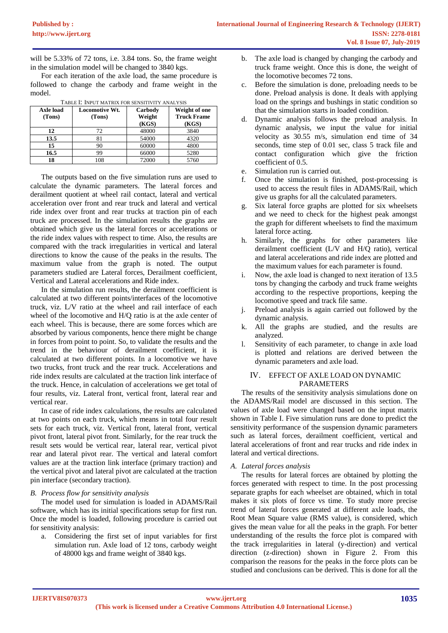will be 5.33% of 72 tons, i.e. 3.84 tons. So, the frame weight in the simulation model will be changed to 3840 kgs.

For each iteration of the axle load, the same procedure is followed to change the carbody and frame weight in the model.

| Axle load<br>(Tons) | <b>Locomotive Wt.</b><br>(Tons) | Carbody<br>Weight<br>(KGS) | Weight of one<br><b>Truck Frame</b><br>(KGS) |
|---------------------|---------------------------------|----------------------------|----------------------------------------------|
| 12                  | 72                              | 48000                      | 3840                                         |
| 13.5                | 81                              | 54000                      | 4320                                         |
| 15                  | 90                              | 60000                      | 4800                                         |
| 16.5                | 99                              | 66000                      | 5280                                         |
| 18                  | 108                             | 72000                      | 5760                                         |

TABLE I: INPUT MATRIX FOR SENSITIVITY ANALYSIS

The outputs based on the five simulation runs are used to calculate the dynamic parameters. The lateral forces and derailment quotient at wheel rail contact, lateral and vertical acceleration over front and rear truck and lateral and vertical ride index over front and rear trucks at traction pin of each truck are processed. In the simulation results the graphs are obtained which give us the lateral forces or accelerations or the ride index values with respect to time. Also, the results are compared with the track irregularities in vertical and lateral directions to know the cause of the peaks in the results. The maximum value from the graph is noted. The output parameters studied are Lateral forces, Derailment coefficient, Vertical and Lateral accelerations and Ride index.

In the simulation run results, the derailment coefficient is calculated at two different points/interfaces of the locomotive truck, viz. L/V ratio at the wheel and rail interface of each wheel of the locomotive and H/Q ratio is at the axle center of each wheel. This is because, there are some forces which are absorbed by various components, hence there might be change in forces from point to point. So, to validate the results and the trend in the behaviour of derailment coefficient, it is calculated at two different points. In a locomotive we have two trucks, front truck and the rear truck. Accelerations and ride index results are calculated at the traction link interface of the truck. Hence, in calculation of accelerations we get total of four results, viz. Lateral front, vertical front, lateral rear and vertical rear.

In case of ride index calculations, the results are calculated at two points on each truck, which means in total four result sets for each truck, viz. Vertical front, lateral front, vertical pivot front, lateral pivot front. Similarly, for the rear truck the result sets would be vertical rear, lateral rear, vertical pivot rear and lateral pivot rear. The vertical and lateral comfort values are at the traction link interface (primary traction) and the vertical pivot and lateral pivot are calculated at the traction pin interface (secondary traction).

### *B. Process flow for sensitivity analysis*

The model used for simulation is loaded in ADAMS/Rail software, which has its initial specifications setup for first run. Once the model is loaded, following procedure is carried out for sensitivity analysis:

a. Considering the first set of input variables for first simulation run. Axle load of 12 tons, carbody weight of 48000 kgs and frame weight of 3840 kgs.

- b. The axle load is changed by changing the carbody and truck frame weight. Once this is done, the weight of the locomotive becomes 72 tons.
- c. Before the simulation is done, preloading needs to be done. Preload analysis is done. It deals with applying load on the springs and bushings in static condition so that the simulation starts in loaded condition.
- d. Dynamic analysis follows the preload analysis. In dynamic analysis, we input the value for initial velocity as 30.55 m/s, simulation end time of 34 seconds, time step of 0.01 sec, class 5 track file and contact configuration which give the friction coefficient of 0.5.
- e. Simulation run is carried out.
- f. Once the simulation is finished, post-processing is used to access the result files in ADAMS/Rail, which give us graphs for all the calculated parameters.
- g. Six lateral force graphs are plotted for six wheelsets and we need to check for the highest peak amongst the graph for different wheelsets to find the maximum lateral force acting.
- h. Similarly, the graphs for other parameters like derailment coefficient (L/V and H/Q ratio), vertical and lateral accelerations and ride index are plotted and the maximum values for each parameter is found.
- i. Now, the axle load is changed to next iteration of 13.5 tons by changing the carbody and truck frame weights according to the respective proportions, keeping the locomotive speed and track file same.
- j. Preload analysis is again carried out followed by the dynamic analysis.
- k. All the graphs are studied, and the results are analyzed.
- l. Sensitivity of each parameter, to change in axle load is plotted and relations are derived between the dynamic parameters and axle load.

### IV. EFFECT OF AXLE LOAD ON DYNAMIC PARAMETERS

The results of the sensitivity analysis simulations done on the ADAMS/Rail model are discussed in this section. The values of axle load were changed based on the input matrix shown in Table I. Five simulation runs are done to predict the sensitivity performance of the suspension dynamic parameters such as lateral forces, derailment coefficient, vertical and lateral accelerations of front and rear trucks and ride index in lateral and vertical directions.

### *A. Lateral forces analysis*

The results for lateral forces are obtained by plotting the forces generated with respect to time. In the post processing separate graphs for each wheelset are obtained, which in total makes it six plots of force vs time. To study more precise trend of lateral forces generated at different axle loads, the Root Mean Square value (RMS value), is considered, which gives the mean value for all the peaks in the graph. For better understanding of the results the force plot is compared with the track irregularities in lateral (y-direction) and vertical direction (z-direction) shown in Figure 2. From this comparison the reasons for the peaks in the force plots can be studied and conclusions can be derived. This is done for all the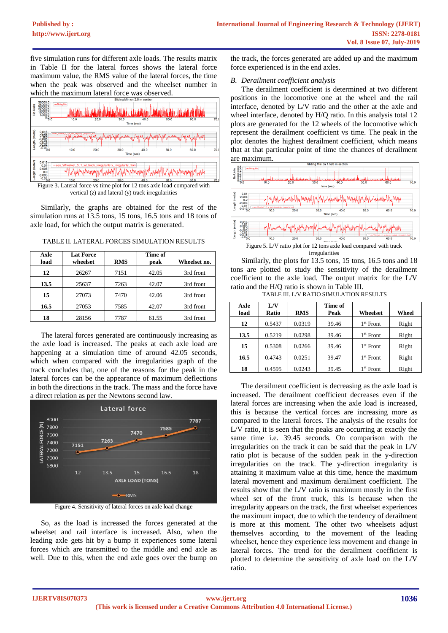five simulation runs for different axle loads. The results matrix in Table II for the lateral forces shows the lateral force maximum value, the RMS value of the lateral forces, the time when the peak was observed and the wheelset number in which the maximum lateral force was observed.



Figure 3. Lateral force vs time plot for 12 tons axle load compared with vertical (z) and lateral (y) track irregularities

Similarly, the graphs are obtained for the rest of the simulation runs at 13.5 tons, 15 tons, 16.5 tons and 18 tons of axle load, for which the output matrix is generated.

TABLE II. LATERAL FORCES SIMULATION RESULTS

| Axle | <b>Lat Force</b> |            | Time of |              |
|------|------------------|------------|---------|--------------|
| load | wheelset         | <b>RMS</b> | peak    | Wheelset no. |
| 12   | 26267            | 7151       | 42.05   | 3rd front    |
| 13.5 | 25637            | 7263       | 42.07   | 3rd front    |
| 15   | 27073            | 7470       | 42.06   | 3rd front    |
| 16.5 | 27053            | 7585       | 42.07   | 3rd front    |
| 18   | 28156            | 7787       | 61.55   | 3rd front    |

The lateral forces generated are continuously increasing as the axle load is increased. The peaks at each axle load are happening at a simulation time of around 42.05 seconds, which when compared with the irregularities graph of the track concludes that, one of the reasons for the peak in the lateral forces can be the appearance of maximum deflections in both the directions in the track. The mass and the force have a direct relation as per the Newtons second law.



Figure 4. Sensitivity of lateral forces on axle load change

So, as the load is increased the forces generated at the wheelset and rail interface is increased. Also, when the leading axle gets hit by a bump it experiences some lateral forces which are transmitted to the middle and end axle as well. Due to this, when the end axle goes over the bump on

the track, the forces generated are added up and the maximum force experienced is in the end axles.

# *B. Derailment coefficient analysis*

The derailment coefficient is determined at two different positions in the locomotive one at the wheel and the rail interface, denoted by L/V ratio and the other at the axle and wheel interface, denoted by H/Q ratio. In this analysis total 12 plots are generated for the 12 wheels of the locomotive which represent the derailment coefficient vs time. The peak in the plot denotes the highest derailment coefficient, which means that at that particular point of time the chances of derailment are maximum.



irregularities

Similarly, the plots for 13.5 tons, 15 tons, 16.5 tons and 18 tons are plotted to study the sensitivity of the derailment coefficient to the axle load. The output matrix for the L/V ratio and the H/Q ratio is shown in Table III.

TABLE III. L/V RATIO SIMULATION RESULTS

| Axle<br>load | L/V<br>Ratio | RMS    | Time of<br>Peak | Wheelset    | Wheel |
|--------------|--------------|--------|-----------------|-------------|-------|
| 12           | 0.5437       | 0.0319 | 39.46           | $1st$ Front | Right |
| 13.5         | 0.5219       | 0.0298 | 39.46           | $1st$ Front | Right |
| 15           | 0.5308       | 0.0266 | 39.46           | $1st$ Front | Right |
| 16.5         | 0.4743       | 0.0251 | 39.47           | $1st$ Front | Right |
| 18           | 0.4595       | 0.0243 | 39.45           | $1st$ Front | Right |

The derailment coefficient is decreasing as the axle load is increased. The derailment coefficient decreases even if the lateral forces are increasing when the axle load is increased, this is because the vertical forces are increasing more as compared to the lateral forces. The analysis of the results for L/V ratio, it is seen that the peaks are occurring at exactly the same time i.e. 39.45 seconds. On comparison with the irregularities on the track it can be said that the peak in L/V ratio plot is because of the sudden peak in the y-direction irregularities on the track. The y-direction irregularity is attaining it maximum value at this time, hence the maximum lateral movement and maximum derailment coefficient. The results show that the L/V ratio is maximum mostly in the first wheel set of the front truck, this is because when the irregularity appears on the track, the first wheelset experiences the maximum impact, due to which the tendency of derailment is more at this moment. The other two wheelsets adjust themselves according to the movement of the leading wheelset, hence they experience less movement and change in lateral forces. The trend for the derailment coefficient is plotted to determine the sensitivity of axle load on the L/V ratio.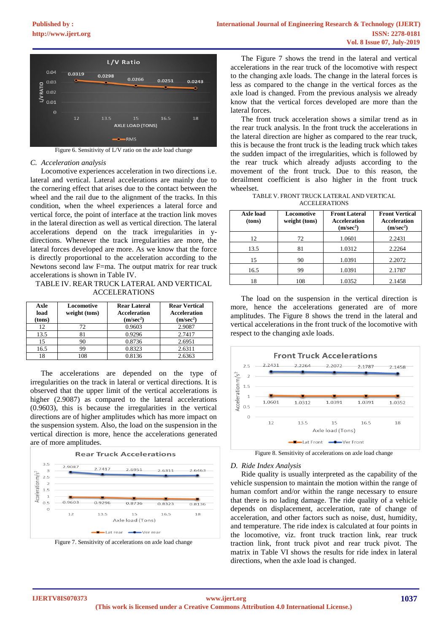

Figure 6. Sensitivity of L/V ratio on the axle load change

#### *C. Acceleration analysis*

Locomotive experiences acceleration in two directions i.e. lateral and vertical. Lateral accelerations are mainly due to the cornering effect that arises due to the contact between the wheel and the rail due to the alignment of the tracks. In this condition, when the wheel experiences a lateral force and vertical force, the point of interface at the traction link moves in the lateral direction as well as vertical direction. The lateral accelerations depend on the track irregularities in ydirections. Whenever the track irregularities are more, the lateral forces developed are more. As we know that the force is directly proportional to the acceleration according to the Newtons second law F=ma. The output matrix for rear truck accelerations is shown in Table IV.

TABLE IV. REAR TRUCK LATERAL AND VERTICAL ACCELERATIONS

| Axle<br>load<br>(tons) | Locomotive<br>weight (tons) | <b>Rear Lateral</b><br><b>Acceleration</b><br>(m/sec <sup>2</sup> ) | <b>Rear Vertical</b><br><b>Acceleration</b><br>(m/sec <sup>2</sup> ) |
|------------------------|-----------------------------|---------------------------------------------------------------------|----------------------------------------------------------------------|
| 12                     | 72.                         | 0.9603                                                              | 2.9087                                                               |
| 13.5                   | 81                          | 0.9296                                                              | 2.7417                                                               |
| 15                     | 90                          | 0.8736                                                              | 2.6951                                                               |
| 16.5                   | 99                          | 0.8323                                                              | 2.6311                                                               |
| 18                     | 108                         | 0.8136                                                              | 2.6363                                                               |

The accelerations are depended on the type of irregularities on the track in lateral or vertical directions. It is observed that the upper limit of the vertical accelerations is higher (2.9087) as compared to the lateral accelerations (0.9603), this is because the irregularities in the vertical directions are of higher amplitudes which has more impact on the suspension system. Also, the load on the suspension in the vertical direction is more, hence the accelerations generated are of more amplitudes.



Figure 7. Sensitivity of accelerations on axle load change

The Figure 7 shows the trend in the lateral and vertical accelerations in the rear truck of the locomotive with respect to the changing axle loads. The change in the lateral forces is less as compared to the change in the vertical forces as the axle load is changed. From the previous analysis we already know that the vertical forces developed are more than the lateral forces.

The front truck acceleration shows a similar trend as in the rear truck analysis. In the front truck the accelerations in the lateral direction are higher as compared to the rear truck, this is because the front truck is the leading truck which takes the sudden impact of the irregularities, which is followed by the rear truck which already adjusts according to the movement of the front truck. Due to this reason, the derailment coefficient is also higher in the front truck wheelset.

TABLE V. FRONT TRUCK LATERAL AND VERTICAL ACCELERATIONS

| Axle load<br>(tons) | Locomotive<br>weight (tons) | <b>Front Lateral</b><br><b>Acceleration</b><br>(m/sec <sup>2</sup> ) | <b>Front Vertical</b><br><b>Acceleration</b><br>(m/sec <sup>2</sup> ) |
|---------------------|-----------------------------|----------------------------------------------------------------------|-----------------------------------------------------------------------|
| 12                  | 72                          | 1.0601                                                               | 2.2431                                                                |
| 13.5                | 81                          | 1.0312                                                               | 2.2264                                                                |
| 15                  | 90                          | 1.0391                                                               | 2.2072                                                                |
| 16.5                | 99                          | 1.0391                                                               | 2.1787                                                                |
| 18                  | 108                         | 1.0352                                                               | 2.1458                                                                |

The load on the suspension in the vertical direction is more, hence the accelerations generated are of more amplitudes. The Figure 8 shows the trend in the lateral and vertical accelerations in the front truck of the locomotive with respect to the changing axle loads.



Figure 8. Sensitivity of accelerations on axle load change

#### *D. Ride Index Analysis*

Ride quality is usually interpreted as the capability of the vehicle suspension to maintain the motion within the range of human comfort and/or within the range necessary to ensure that there is no lading damage. The ride quality of a vehicle depends on displacement, acceleration, rate of change of acceleration, and other factors such as noise, dust, humidity, and temperature. The ride index is calculated at four points in the locomotive, viz. front truck traction link, rear truck traction link, front truck pivot and rear truck pivot. The matrix in Table VI shows the results for ride index in lateral directions, when the axle load is changed.